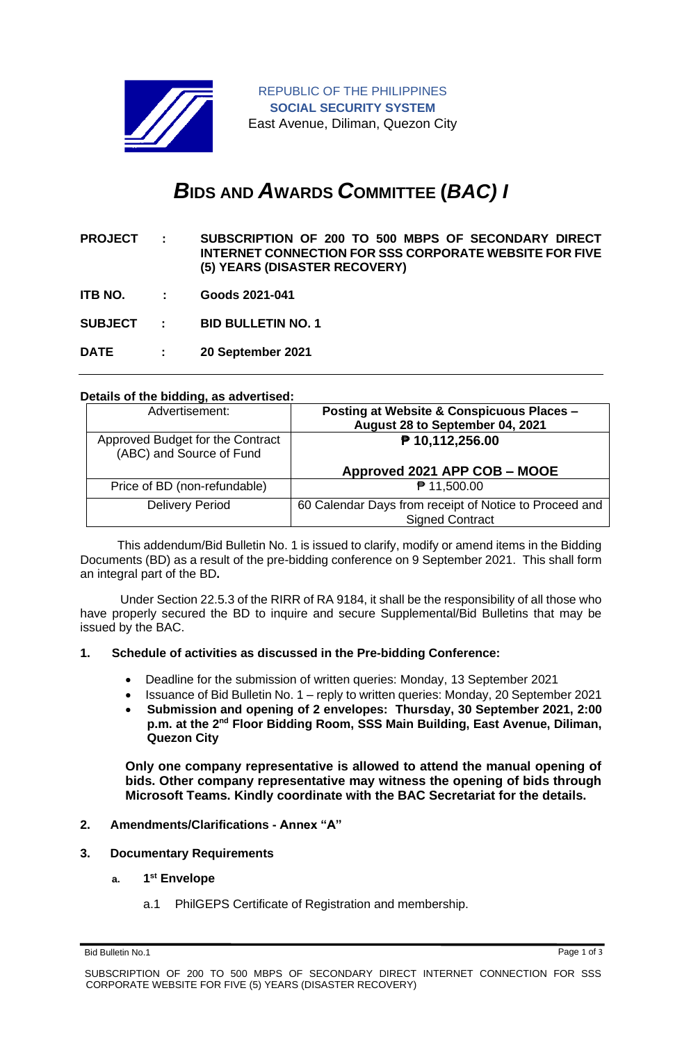

# *B***IDS AND** *A***WARDS** *C***OMMITTEE (***BAC) I*

**PROJECT : SUBSCRIPTION OF 200 TO 500 MBPS OF SECONDARY DIRECT INTERNET CONNECTION FOR SSS CORPORATE WEBSITE FOR FIVE (5) YEARS (DISASTER RECOVERY)**

**ITB NO. : Goods 2021-041**

**SUBJECT : BID BULLETIN NO. 1**

**DATE : 20 September 2021**

## **Details of the bidding, as advertised:**

| Advertisement:                                               | <b>Posting at Website &amp; Conspicuous Places -</b><br>August 28 to September 04, 2021 |
|--------------------------------------------------------------|-----------------------------------------------------------------------------------------|
| Approved Budget for the Contract<br>(ABC) and Source of Fund | ₱ 10,112,256.00                                                                         |
|                                                              | Approved 2021 APP COB - MOOE                                                            |
| Price of BD (non-refundable)                                 | ₱ 11,500.00                                                                             |
| <b>Delivery Period</b>                                       | 60 Calendar Days from receipt of Notice to Proceed and<br><b>Signed Contract</b>        |

 This addendum/Bid Bulletin No. 1 is issued to clarify, modify or amend items in the Bidding Documents (BD) as a result of the pre-bidding conference on 9 September 2021. This shall form an integral part of the BD**.**

Under Section 22.5.3 of the RIRR of RA 9184, it shall be the responsibility of all those who have properly secured the BD to inquire and secure Supplemental/Bid Bulletins that may be issued by the BAC.

## **1. Schedule of activities as discussed in the Pre-bidding Conference:**

- Deadline for the submission of written queries: Monday, 13 September 2021
- Issuance of Bid Bulletin No. 1 reply to written queries: Monday, 20 September 2021
- **Submission and opening of 2 envelopes: Thursday, 30 September 2021, 2:00 p.m. at the 2nd Floor Bidding Room, SSS Main Building, East Avenue, Diliman, Quezon City**

**Only one company representative is allowed to attend the manual opening of bids. Other company representative may witness the opening of bids through Microsoft Teams. Kindly coordinate with the BAC Secretariat for the details.**

## **2. Amendments/Clarifications - Annex "A"**

## **3. Documentary Requirements**

## **a. 1 st Envelope**

a.1 PhilGEPS Certificate of Registration and membership.

Bid Bulletin No.1 Page 1 of 3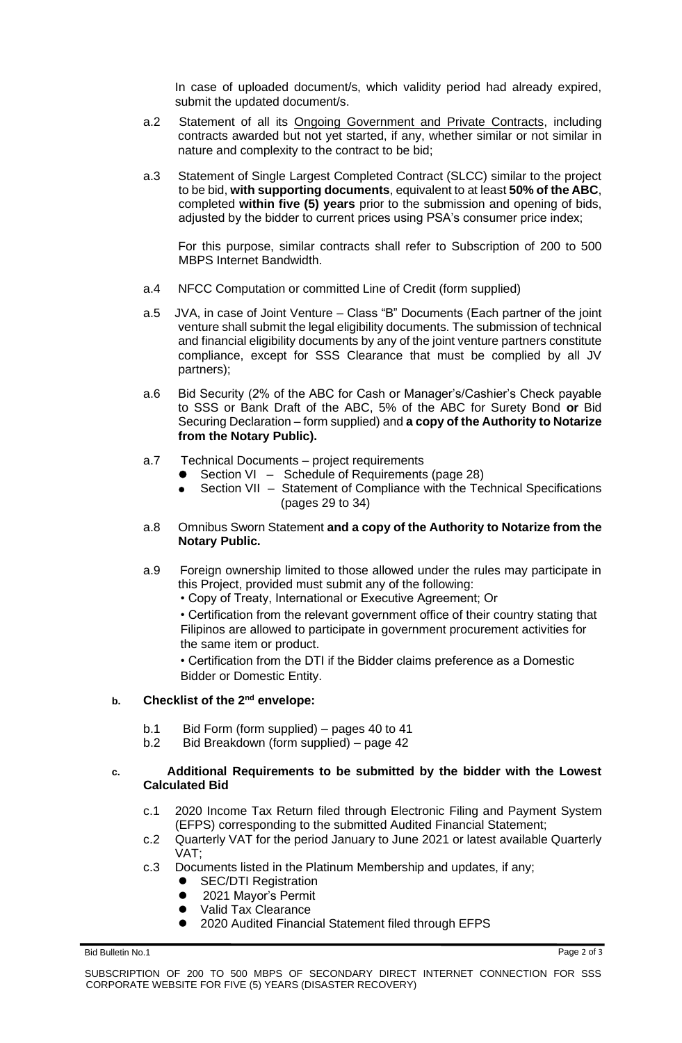In case of uploaded document/s, which validity period had already expired, submit the updated document/s.

- a.2 Statement of all its Ongoing Government and Private Contracts, including contracts awarded but not yet started, if any, whether similar or not similar in nature and complexity to the contract to be bid;
- a.3 Statement of Single Largest Completed Contract (SLCC) similar to the project to be bid, **with supporting documents**, equivalent to at least **50% of the ABC**, completed **within five (5) years** prior to the submission and opening of bids, adjusted by the bidder to current prices using PSA's consumer price index;

For this purpose, similar contracts shall refer to Subscription of 200 to 500 MBPS Internet Bandwidth.

- a.4 NFCC Computation or committed Line of Credit (form supplied)
- a.5 JVA, in case of Joint Venture Class "B" Documents (Each partner of the joint venture shall submit the legal eligibility documents. The submission of technical and financial eligibility documents by any of the joint venture partners constitute compliance, except for SSS Clearance that must be complied by all JV partners);
- a.6 Bid Security (2% of the ABC for Cash or Manager's/Cashier's Check payable to SSS or Bank Draft of the ABC, 5% of the ABC for Surety Bond **or** Bid Securing Declaration – form supplied) and **a copy of the Authority to Notarize from the Notary Public).**
- a.7 Technical Documents project requirements
	- Section VI Schedule of Requirements (page 28)
	- Section VII Statement of Compliance with the Technical Specifications (pages 29 to 34)
- a.8 Omnibus Sworn Statement **and a copy of the Authority to Notarize from the Notary Public.**
- a.9 Foreign ownership limited to those allowed under the rules may participate in this Project, provided must submit any of the following:
	- Copy of Treaty, International or Executive Agreement; Or

• Certification from the relevant government office of their country stating that Filipinos are allowed to participate in government procurement activities for the same item or product.

• Certification from the DTI if the Bidder claims preference as a Domestic Bidder or Domestic Entity.

## **b. Checklist of the 2nd envelope:**

- b.1 Bid Form (form supplied) pages 40 to 41
- b.2 Bid Breakdown (form supplied) page 42

## **c. Additional Requirements to be submitted by the bidder with the Lowest Calculated Bid**

- c.1 2020 Income Tax Return filed through Electronic Filing and Payment System (EFPS) corresponding to the submitted Audited Financial Statement;
- c.2 Quarterly VAT for the period January to June 2021 or latest available Quarterly VAT;
- c.3 Documents listed in the Platinum Membership and updates, if any;
	- **SEC/DTI Registration**
	- 2021 Mayor's Permit
	- ⚫ Valid Tax Clearance
	- ⚫ 2020 Audited Financial Statement filed through EFPS

Bid Bulletin No.1 Page 2 of 3